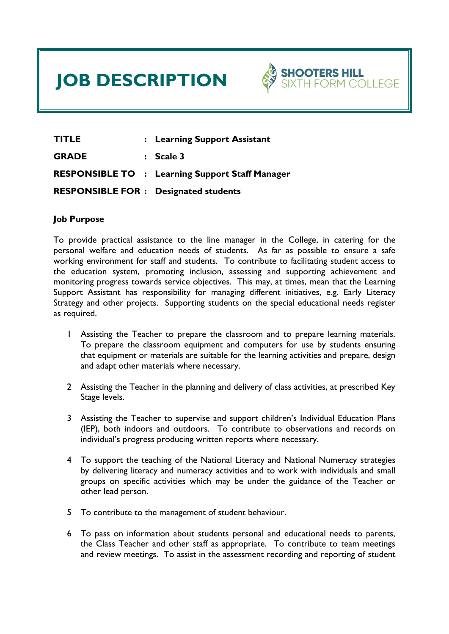# **JOB DESCRIPTION**



**TITLE : Learning Support Assistant GRADE : Scale 3 RESPONSIBLE TO : Learning Support Staff Manager RESPONSIBLE FOR : Designated students** 

#### **Job Purpose**

To provide practical assistance to the line manager in the College, in catering for the personal welfare and education needs of students. As far as possible to ensure a safe working environment for staff and students. To contribute to facilitating student access to the education system, promoting inclusion, assessing and supporting achievement and monitoring progress towards service objectives. This may, at times, mean that the Learning Support Assistant has responsibility for managing different initiatives, e.g. Early Literacy Strategy and other projects. Supporting students on the special educational needs register as required.

- 1 Assisting the Teacher to prepare the classroom and to prepare learning materials. To prepare the classroom equipment and computers for use by students ensuring that equipment or materials are suitable for the learning activities and prepare, design and adapt other materials where necessary.
- 2 Assisting the Teacher in the planning and delivery of class activities, at prescribed Key Stage levels.
- 3 Assisting the Teacher to supervise and support children's Individual Education Plans (IEP), both indoors and outdoors. To contribute to observations and records on individual's progress producing written reports where necessary.
- 4 To support the teaching of the National Literacy and National Numeracy strategies by delivering literacy and numeracy activities and to work with individuals and small groups on specific activities which may be under the guidance of the Teacher or other lead person.
- 5 To contribute to the management of student behaviour.
- 6 To pass on information about students personal and educational needs to parents, the Class Teacher and other staff as appropriate. To contribute to team meetings and review meetings. To assist in the assessment recording and reporting of student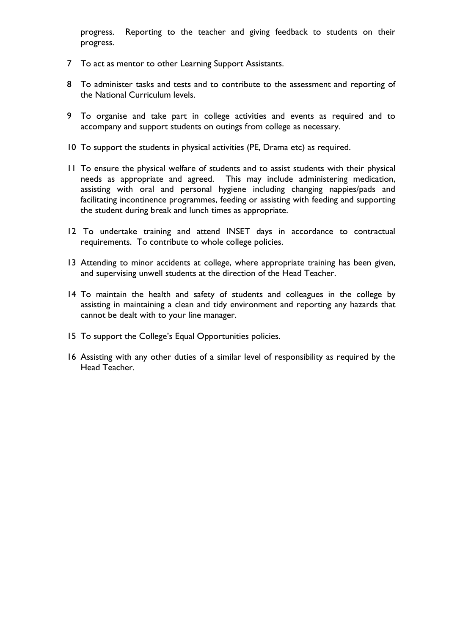progress. Reporting to the teacher and giving feedback to students on their progress.

- 7 To act as mentor to other Learning Support Assistants.
- 8 To administer tasks and tests and to contribute to the assessment and reporting of the National Curriculum levels.
- 9 To organise and take part in college activities and events as required and to accompany and support students on outings from college as necessary.
- 10 To support the students in physical activities (PE, Drama etc) as required.
- 11 To ensure the physical welfare of students and to assist students with their physical needs as appropriate and agreed. This may include administering medication, assisting with oral and personal hygiene including changing nappies/pads and facilitating incontinence programmes, feeding or assisting with feeding and supporting the student during break and lunch times as appropriate.
- 12 To undertake training and attend INSET days in accordance to contractual requirements. To contribute to whole college policies.
- 13 Attending to minor accidents at college, where appropriate training has been given, and supervising unwell students at the direction of the Head Teacher.
- 14 To maintain the health and safety of students and colleagues in the college by assisting in maintaining a clean and tidy environment and reporting any hazards that cannot be dealt with to your line manager.
- 15 To support the College's Equal Opportunities policies.
- 16 Assisting with any other duties of a similar level of responsibility as required by the Head Teacher.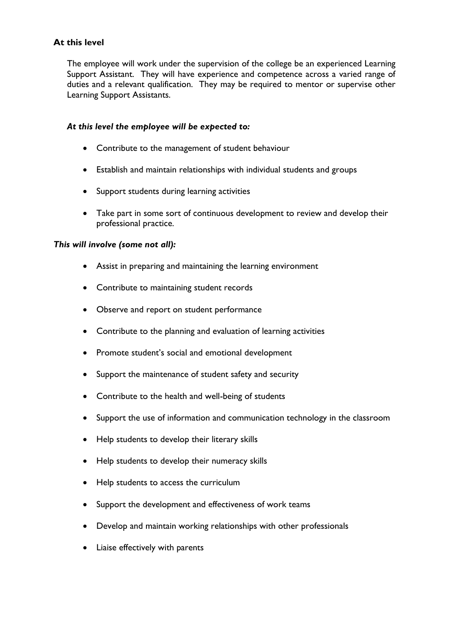# **At this level**

The employee will work under the supervision of the college be an experienced Learning Support Assistant. They will have experience and competence across a varied range of duties and a relevant qualification. They may be required to mentor or supervise other Learning Support Assistants.

#### *At this level the employee will be expected to:*

- Contribute to the management of student behaviour
- Establish and maintain relationships with individual students and groups
- Support students during learning activities
- Take part in some sort of continuous development to review and develop their professional practice.

#### *This will involve (some not all):*

- Assist in preparing and maintaining the learning environment
- Contribute to maintaining student records
- Observe and report on student performance
- Contribute to the planning and evaluation of learning activities
- Promote student's social and emotional development
- Support the maintenance of student safety and security
- Contribute to the health and well-being of students
- Support the use of information and communication technology in the classroom
- Help students to develop their literary skills
- Help students to develop their numeracy skills
- Help students to access the curriculum
- Support the development and effectiveness of work teams
- Develop and maintain working relationships with other professionals
- Liaise effectively with parents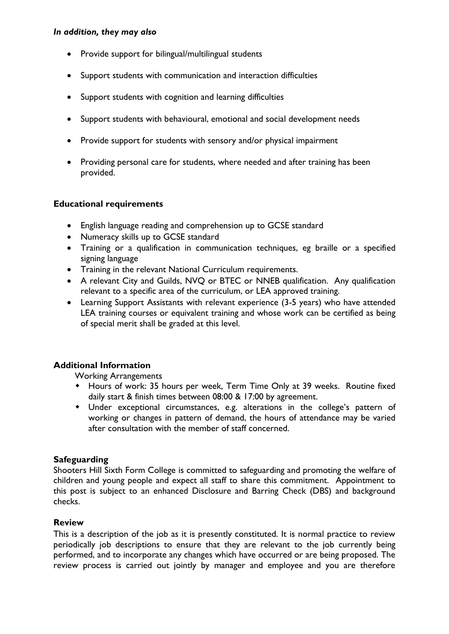#### *In addition, they may also*

- Provide support for bilingual/multilingual students
- Support students with communication and interaction difficulties
- Support students with cognition and learning difficulties
- Support students with behavioural, emotional and social development needs
- Provide support for students with sensory and/or physical impairment
- Providing personal care for students, where needed and after training has been provided.

# **Educational requirements**

- English language reading and comprehension up to GCSE standard
- Numeracy skills up to GCSE standard
- Training or a qualification in communication techniques, eg braille or a specified signing language
- Training in the relevant National Curriculum requirements.
- A relevant City and Guilds, NVQ or BTEC or NNEB qualification. Any qualification relevant to a specific area of the curriculum, or LEA approved training.
- Learning Support Assistants with relevant experience (3-5 years) who have attended LEA training courses or equivalent training and whose work can be certified as being of special merit shall be graded at this level.

# **Additional Information**

Working Arrangements

- Hours of work: 35 hours per week, Term Time Only at 39 weeks. Routine fixed daily start & finish times between 08:00 & 17:00 by agreement.
- Under exceptional circumstances, e.g. alterations in the college's pattern of working or changes in pattern of demand, the hours of attendance may be varied after consultation with the member of staff concerned.

# **Safeguarding**

Shooters Hill Sixth Form College is committed to safeguarding and promoting the welfare of children and young people and expect all staff to share this commitment. Appointment to this post is subject to an enhanced Disclosure and Barring Check (DBS) and background checks.

# **Review**

This is a description of the job as it is presently constituted. It is normal practice to review periodically job descriptions to ensure that they are relevant to the job currently being performed, and to incorporate any changes which have occurred or are being proposed. The review process is carried out jointly by manager and employee and you are therefore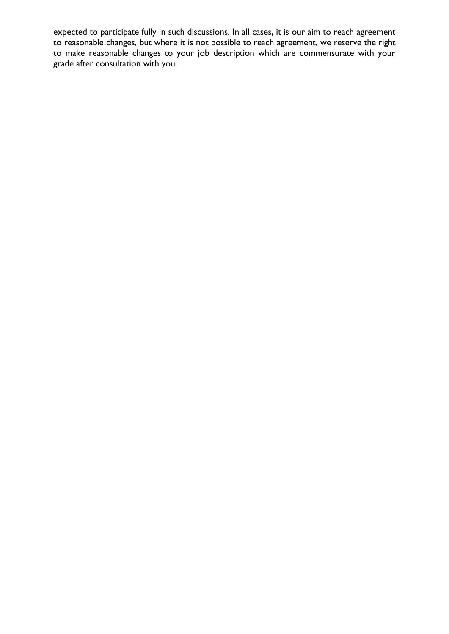expected to participate fully in such discussions. In all cases, it is our aim to reach agreement to reasonable changes, but where it is not possible to reach agreement, we reserve the right to make reasonable changes to your job description which are commensurate with your grade after consultation with you.